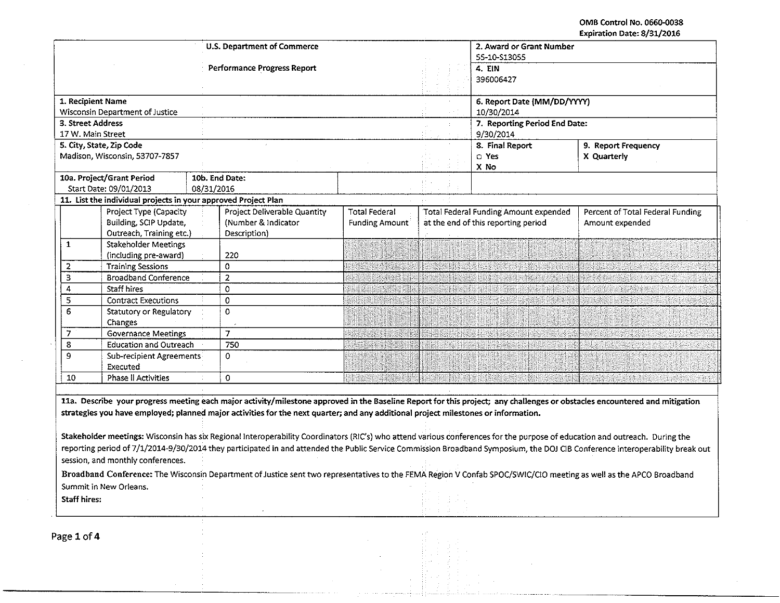OMB Control No. 0660-0038 Expiration Date: 8/31/2016

|                                                  |                                                                                  | <b>U.S. Department of Commerce</b>                                                                                                                                                                                                                                                                                                                                                                                                                                                                                                                                                                                                                                                                                                                                                                                                                     |                                               | 2. Award or Grant Number<br>55-10-S13055                                            |                                                                                                                |                                                     |  |  |
|--------------------------------------------------|----------------------------------------------------------------------------------|--------------------------------------------------------------------------------------------------------------------------------------------------------------------------------------------------------------------------------------------------------------------------------------------------------------------------------------------------------------------------------------------------------------------------------------------------------------------------------------------------------------------------------------------------------------------------------------------------------------------------------------------------------------------------------------------------------------------------------------------------------------------------------------------------------------------------------------------------------|-----------------------------------------------|-------------------------------------------------------------------------------------|----------------------------------------------------------------------------------------------------------------|-----------------------------------------------------|--|--|
|                                                  |                                                                                  | <b>Performance Progress Report</b>                                                                                                                                                                                                                                                                                                                                                                                                                                                                                                                                                                                                                                                                                                                                                                                                                     |                                               |                                                                                     | 4. EIN<br>396006427                                                                                            |                                                     |  |  |
|                                                  | 1. Recipient Name                                                                |                                                                                                                                                                                                                                                                                                                                                                                                                                                                                                                                                                                                                                                                                                                                                                                                                                                        |                                               |                                                                                     | 6. Report Date (MM/DD/YYYY)                                                                                    |                                                     |  |  |
|                                                  | Wisconsin Department of Justice                                                  |                                                                                                                                                                                                                                                                                                                                                                                                                                                                                                                                                                                                                                                                                                                                                                                                                                                        |                                               |                                                                                     |                                                                                                                | 10/30/2014                                          |  |  |
| 3. Street Address                                |                                                                                  |                                                                                                                                                                                                                                                                                                                                                                                                                                                                                                                                                                                                                                                                                                                                                                                                                                                        |                                               |                                                                                     |                                                                                                                | 7. Reporting Period End Date:                       |  |  |
|                                                  | 17 W. Main Street                                                                |                                                                                                                                                                                                                                                                                                                                                                                                                                                                                                                                                                                                                                                                                                                                                                                                                                                        |                                               |                                                                                     | 9/30/2014                                                                                                      |                                                     |  |  |
|                                                  | 5. City, State, Zip Code                                                         |                                                                                                                                                                                                                                                                                                                                                                                                                                                                                                                                                                                                                                                                                                                                                                                                                                                        |                                               | 8. Final Report                                                                     | 9. Report Frequency                                                                                            |                                                     |  |  |
|                                                  | Madison, Wisconsin, 53707-7857                                                   |                                                                                                                                                                                                                                                                                                                                                                                                                                                                                                                                                                                                                                                                                                                                                                                                                                                        |                                               |                                                                                     | O Yes<br>X No                                                                                                  | X Quarterly                                         |  |  |
|                                                  | 10a. Project/Grant Period                                                        | 10b. End Date:                                                                                                                                                                                                                                                                                                                                                                                                                                                                                                                                                                                                                                                                                                                                                                                                                                         |                                               |                                                                                     |                                                                                                                |                                                     |  |  |
|                                                  | Start Date: 09/01/2013                                                           | 08/31/2016                                                                                                                                                                                                                                                                                                                                                                                                                                                                                                                                                                                                                                                                                                                                                                                                                                             |                                               |                                                                                     |                                                                                                                |                                                     |  |  |
|                                                  | 11. List the individual projects in your approved Project Plan                   |                                                                                                                                                                                                                                                                                                                                                                                                                                                                                                                                                                                                                                                                                                                                                                                                                                                        |                                               |                                                                                     |                                                                                                                |                                                     |  |  |
| Project Type (Capacity<br>Building, SCIP Update, |                                                                                  | Project Deliverable Quantity<br>(Number & Indicator<br>Description)                                                                                                                                                                                                                                                                                                                                                                                                                                                                                                                                                                                                                                                                                                                                                                                    | <b>Total Federal</b><br><b>Funding Amount</b> | <b>Total Federal Funding Amount expended</b><br>at the end of this reporting period |                                                                                                                | Percent of Total Federal Funding<br>Amount expended |  |  |
| $\mathbf{1}$                                     | Outreach, Training etc.)<br><b>Stakeholder Meetings</b><br>(including pre-award) | 220                                                                                                                                                                                                                                                                                                                                                                                                                                                                                                                                                                                                                                                                                                                                                                                                                                                    |                                               |                                                                                     |                                                                                                                |                                                     |  |  |
| $\overline{2}$                                   | <b>Training Sessions</b>                                                         | 0                                                                                                                                                                                                                                                                                                                                                                                                                                                                                                                                                                                                                                                                                                                                                                                                                                                      |                                               |                                                                                     | en en de la provincia                                                                                          |                                                     |  |  |
| 3                                                | <b>Broadband Conference</b>                                                      | 2                                                                                                                                                                                                                                                                                                                                                                                                                                                                                                                                                                                                                                                                                                                                                                                                                                                      |                                               |                                                                                     |                                                                                                                |                                                     |  |  |
| 4                                                | Staff hires                                                                      | 0                                                                                                                                                                                                                                                                                                                                                                                                                                                                                                                                                                                                                                                                                                                                                                                                                                                      |                                               |                                                                                     |                                                                                                                | <u> ARHAMINING MATALIA</u>                          |  |  |
| 5                                                | <b>Contract Executions</b>                                                       | 0                                                                                                                                                                                                                                                                                                                                                                                                                                                                                                                                                                                                                                                                                                                                                                                                                                                      |                                               |                                                                                     |                                                                                                                | WING MA                                             |  |  |
| 6                                                | Statutory or Regulatory<br><b>Changes</b>                                        | $\Omega$                                                                                                                                                                                                                                                                                                                                                                                                                                                                                                                                                                                                                                                                                                                                                                                                                                               |                                               |                                                                                     |                                                                                                                |                                                     |  |  |
| $\overline{7}$                                   | <b>Governance Meetings</b>                                                       | $\overline{7}$                                                                                                                                                                                                                                                                                                                                                                                                                                                                                                                                                                                                                                                                                                                                                                                                                                         | <u> Hiller og dagen med general</u>           |                                                                                     | <u> Album Mahali a Mahali a Ma</u>                                                                             | <b>ANIMARKA ANIMARKA</b>                            |  |  |
| 8                                                | <b>Education and Outreach</b>                                                    | 750                                                                                                                                                                                                                                                                                                                                                                                                                                                                                                                                                                                                                                                                                                                                                                                                                                                    |                                               |                                                                                     | and the second contract of the second second second second second second second second second second second se |                                                     |  |  |
| 9                                                | Sub-recipient Agreements<br>Executed                                             | 0                                                                                                                                                                                                                                                                                                                                                                                                                                                                                                                                                                                                                                                                                                                                                                                                                                                      |                                               |                                                                                     |                                                                                                                |                                                     |  |  |
| 10                                               | <b>Phase II Activities</b>                                                       | 0                                                                                                                                                                                                                                                                                                                                                                                                                                                                                                                                                                                                                                                                                                                                                                                                                                                      |                                               |                                                                                     | <u> Elizabeth a cheadailteach an a</u>                                                                         |                                                     |  |  |
|                                                  | session, and monthly conferences.                                                | 11a. Describe your progress meeting each major activity/milestone approved in the Baseline Report for this project; any challenges or obstacles encountered and mitigation<br>strategies you have employed; planned major activities for the next quarter; and any additional project milestones or information.<br>Stakeholder meetings: Wisconsin has six Regional Interoperability Coordinators (RIC's) who attend various conferences for the purpose of education and outreach. During the<br>reporting period of 7/1/2014-9/30/2014 they participated in and attended the Public Service Commission Broadband Symposium, the DOJ CIB Conference interoperability break out<br>Broadband Conference: The Wisconsin Department of Justice sent two representatives to the FEMA Region V Confab SPOC/SWIC/CIO meeting as well as the APCO Broadband |                                               |                                                                                     |                                                                                                                |                                                     |  |  |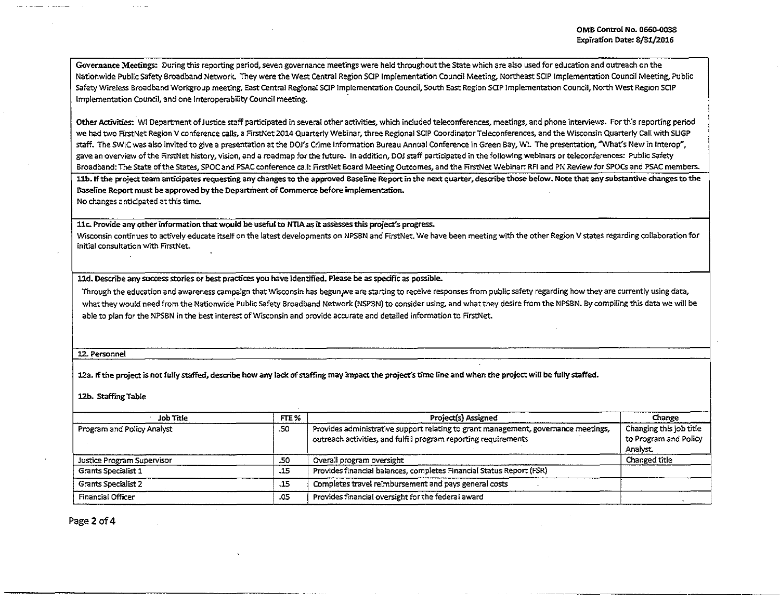Governance Meetings: During this reporting period, seven governance meetings were held throughout the State which are also used for education and outreach on the Nationwide Public Safety Broadband Network. They were the West Central Region SCIP Implementation Council Meeting, Northeast SCIP Implementation Council Meeting, Public Safety Wireless Broadband Workgroup meeting, East Central Regional SOP Implementation Council, South East Region SCIP Implementation Council, North West Region SCIP Implementation Council, and one lnteroperability Council meeting.

Other Activities: WI Department of Justice staff participated in several other activities, which included teleconferences, meetings, and phone interviews. For this reporting period we had tvvo FirstNet Region V conference calls, a FirstNet 2014 Quarterly Webinar, three Regional SCIP Coordinator Teleconferences, and the Wisconsin Quarterly Call with SUGP staff. The SWIC was also invited to give a presentation at the DOJ's Crime Information Bureau Annual Conference in Green Bay, WI. The presentation, "What's New in Interop", gave an overview of the FirstNet history, vision, and a roadmap for the future. In addition, DOJ staff participated in the following webinars or teleconferences: Public Safety Broadband: The State of the States, SPOC and PSAC conference call: FirstNet Board Meeting Outcomes, and the FirstNet Webinar: RFI and PN Review for SPOCs and PSAC members.

11b. If the project team anticipates requesting any changes to the approved Baseline Report in the next quarter, describe those below. Note that any substantive changes to the Baseline Report must be approved by the Department of Commerce before implementation.

No changes anticipated at this time.

llc. Provide arry other information that would be useful to NTIA as it assesses this project's progress.

Wisconsin continues to actively educate itself on the latest developments on NPSBN and FirstNet. We have been meeting with the other Region V states regarding collaboration for initial consultation with FirstNet.

lld. Describe any success stories or best practices you have identified. Please be as specific as possible.

Through the education and awareness campaign that Wisconsin has begun we are starting to receive responses from public safety regarding how they are currently using data, what they would need from the Nationwide. Public safety Broadband Network {NSPBN) to consider using. and what they desire from the NPSSN. By compiling this data we will be able to plan for the NPSBN in the best interest of Wisconsin and provide accurate and detailed information to FirstNet.

12. Personnel

12a. If the project is not fully staffed, describe how any lack of staffing may impact the project's time line and when the project will be fully staffed.

12b. Staffing Table

| Job Title                  | FTE % | Project(s) Assigned                                                                                                                                   | Change                                                      |
|----------------------------|-------|-------------------------------------------------------------------------------------------------------------------------------------------------------|-------------------------------------------------------------|
| Program and Policy Analyst | -50   | Provides administrative support relating to grant management, governance meetings,<br>outreach activities, and fulfill program reporting requirements | Changing this job title<br>to Program and Policy<br>Analyst |
| Justice Program Supervisor | .50   | Overall program oversight                                                                                                                             | Changed title                                               |
| <b>Grants Specialist 1</b> | .15   | Provides financial balances, completes Financial Status Report (FSR)                                                                                  |                                                             |
| Grants Specialist 2        | .15   | Completes travel reimbursement and pays general costs                                                                                                 |                                                             |
| Financial Officer          | .05   | Provides financial oversight for the federal award                                                                                                    |                                                             |

Page 2 of 4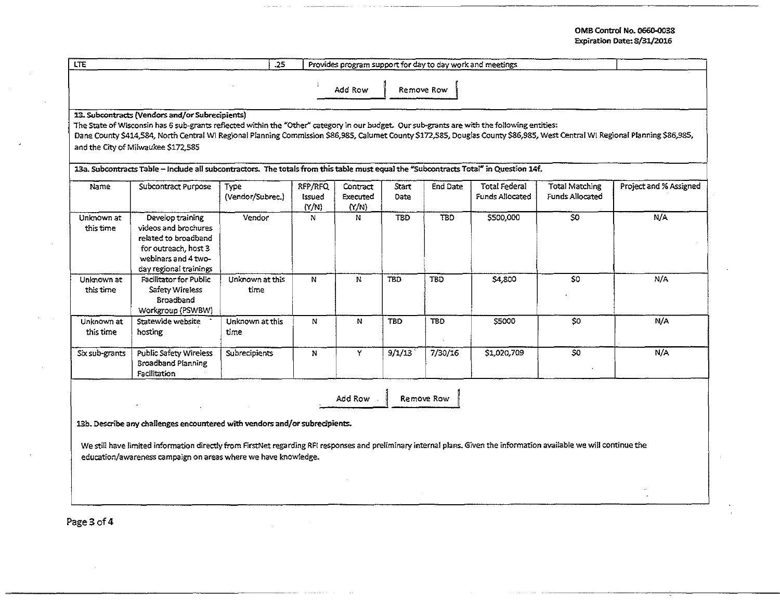## OMB Control No. 066Q.003S Expiration Date: 8/31/2016

| <b>LTE</b><br>.25<br>Provides program support for day to day work and meetings                                                                                                                                                          |                                                                                                                                                                                                                                                                                                                                                                                                                         |                                 |                            |                               |               |            |                                  |                                                 |                        |
|-----------------------------------------------------------------------------------------------------------------------------------------------------------------------------------------------------------------------------------------|-------------------------------------------------------------------------------------------------------------------------------------------------------------------------------------------------------------------------------------------------------------------------------------------------------------------------------------------------------------------------------------------------------------------------|---------------------------------|----------------------------|-------------------------------|---------------|------------|----------------------------------|-------------------------------------------------|------------------------|
|                                                                                                                                                                                                                                         |                                                                                                                                                                                                                                                                                                                                                                                                                         |                                 |                            | Add Row                       |               | Remove Row |                                  |                                                 |                        |
|                                                                                                                                                                                                                                         | 13. Subcontracts (Vendors and/or Subrecipients)<br>The State of Wisconsin has 6 sub-grants reflected within the "Other" category in our budget. Our sub-grants are with the following entities:<br>Dane County \$414,584, North Central WI Regional Planning Commission \$86,985, Calumet County \$172,585, Douglas County \$86,985, West Central WI Regional Planning \$86,985,<br>and the City of Milwaukee \$172,585 |                                 |                            |                               |               |            |                                  |                                                 |                        |
| Name                                                                                                                                                                                                                                    | 13a. Subcontracts Table - Include all subcontractors. The totals from this table must equal the "Subcontracts Total" in Question 14f.<br>Subcontract Purpose                                                                                                                                                                                                                                                            | <b>Type</b><br>(Vendor/Subrec.) | RFP/RFQ<br>Issued<br>(Y/N) | Contract<br>Executed<br>(Y/N) | Start<br>Date | End Date   | Total Federal<br>Funds Allocated | <b>Total Matching</b><br><b>Funds Allocated</b> | Project and % Assigned |
| Unknown at<br>this time                                                                                                                                                                                                                 | Develop training<br>videos and brochures<br>related to broadband<br>for outreach, host 3<br>webinars and 4 two-<br>day regional trainings                                                                                                                                                                                                                                                                               | Vendor                          | N.                         | N                             | <b>TBD</b>    | TBD        | \$500,000                        | $\overline{\mathbf{S}}$                         | N/A                    |
| Unknown at<br>this time                                                                                                                                                                                                                 | <b>Facilitator for Public</b><br>Safety Wireless<br>Broadband<br>Workgroup (PSWBW)                                                                                                                                                                                                                                                                                                                                      | Unknown at this<br>time         | N                          | $\mathbf{N}$                  | TBD           | <b>TBD</b> | \$4,800                          | \$0                                             | N/A                    |
| Unknown at<br>this time                                                                                                                                                                                                                 | Statewide website<br>hosting                                                                                                                                                                                                                                                                                                                                                                                            | Unknown at this<br>time         | N                          | N                             | <b>TBD</b>    | <b>TBD</b> | S5000                            | \$0                                             | N/A                    |
| Six sub-grants                                                                                                                                                                                                                          | Public Safety Wireless<br>Broadband Planning<br>Facilitation                                                                                                                                                                                                                                                                                                                                                            | <b>Subrecipients</b>            | $\mathbf{N}$               | Y.                            | 9/1/13        | 7/30/16    | \$1,020,709                      | SO                                              | N/A                    |
| Remove Row<br>Add Row                                                                                                                                                                                                                   |                                                                                                                                                                                                                                                                                                                                                                                                                         |                                 |                            |                               |               |            |                                  |                                                 |                        |
| 13b. Describe any challenges encountered with vendors and/or subrecipients.                                                                                                                                                             |                                                                                                                                                                                                                                                                                                                                                                                                                         |                                 |                            |                               |               |            |                                  |                                                 |                        |
| We still have limited information directly from FirstNet regarding RFI responses and preliminary internal plans. Given the information available we will continue the<br>education/awareness campaign on areas where we have knowledge. |                                                                                                                                                                                                                                                                                                                                                                                                                         |                                 |                            |                               |               |            |                                  |                                                 |                        |
|                                                                                                                                                                                                                                         |                                                                                                                                                                                                                                                                                                                                                                                                                         |                                 |                            |                               |               |            |                                  |                                                 |                        |

 $\sim$ 

 $\mathcal{L}$ 

Page 3 of 4